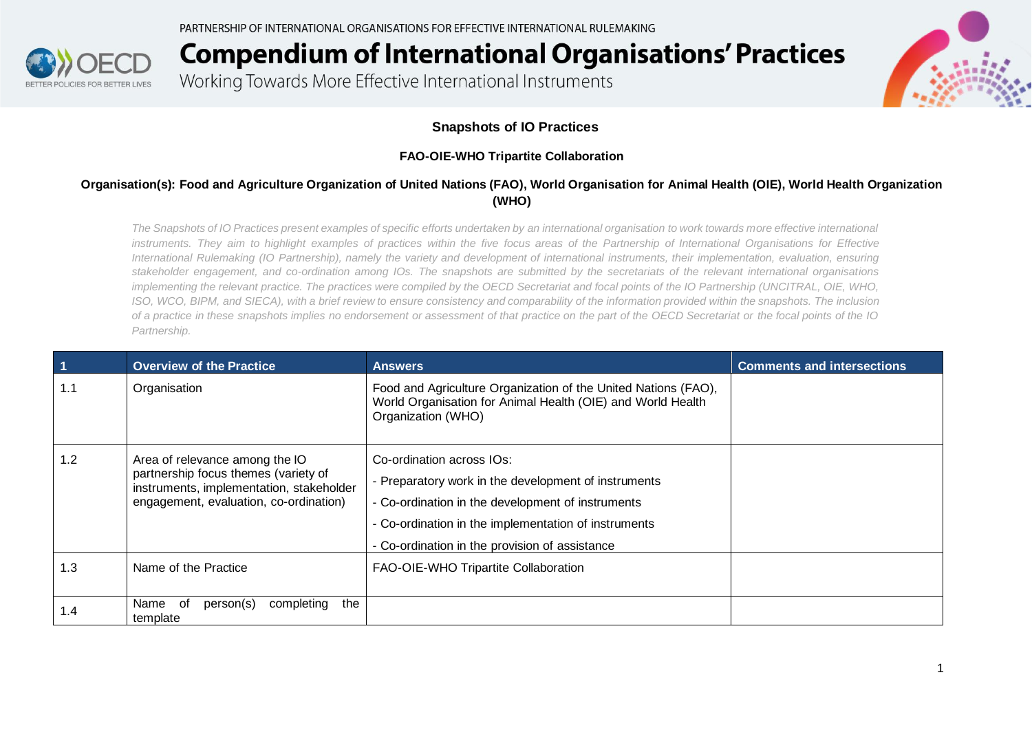

Working Towards More Effective International Instruments



#### **Snapshots of IO Practices**

#### **FAO-OIE-WHO Tripartite Collaboration**

#### **Organisation(s): Food and Agriculture Organization of United Nations (FAO), World Organisation for Animal Health (OIE), World Health Organization (WHO)**

*The Snapshots of IO Practices present examples of specific efforts undertaken by an international organisation to work towards more effective international*  instruments. They aim to highlight examples of practices within the five focus areas of the Partnership of International Organisations for Effective *International Rulemaking (IO Partnership), namely the variety and development of international instruments, their implementation, evaluation, ensuring stakeholder engagement, and co-ordination among IOs. The snapshots are submitted by the secretariats of the relevant international organisations implementing the relevant practice. The practices were compiled by the OECD Secretariat and focal points of the IO Partnership (UNCITRAL, OIE, WHO, ISO, WCO, BIPM, and SIECA), with a brief review to ensure consistency and comparability of the information provided within the snapshots. The inclusion of a practice in these snapshots implies no endorsement or assessment of that practice on the part of the OECD Secretariat or the focal points of the IO Partnership.*

| $\vert$ 1 | <b>Overview of the Practice</b>                                                                                                                              | <b>Answers</b>                                                                                                                                                                                                                                   | <b>Comments and intersections</b> |
|-----------|--------------------------------------------------------------------------------------------------------------------------------------------------------------|--------------------------------------------------------------------------------------------------------------------------------------------------------------------------------------------------------------------------------------------------|-----------------------------------|
| 1.1       | Organisation                                                                                                                                                 | Food and Agriculture Organization of the United Nations (FAO),<br>World Organisation for Animal Health (OIE) and World Health<br>Organization (WHO)                                                                                              |                                   |
| 1.2       | Area of relevance among the IO<br>partnership focus themes (variety of<br>instruments, implementation, stakeholder<br>engagement, evaluation, co-ordination) | Co-ordination across IOs:<br>- Preparatory work in the development of instruments<br>- Co-ordination in the development of instruments<br>- Co-ordination in the implementation of instruments<br>- Co-ordination in the provision of assistance |                                   |
| 1.3       | Name of the Practice                                                                                                                                         | FAO-OIE-WHO Tripartite Collaboration                                                                                                                                                                                                             |                                   |
| 1.4       | completing<br>the<br>of<br>person(s)<br>Name<br>template                                                                                                     |                                                                                                                                                                                                                                                  |                                   |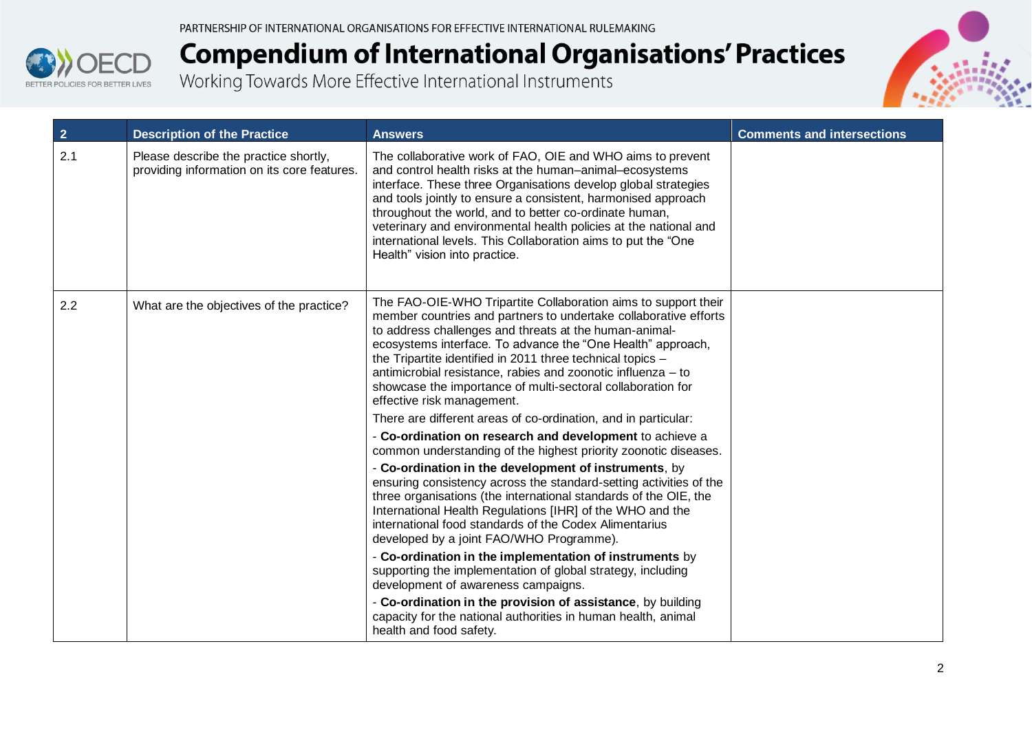



| $\overline{2}$ | <b>Description of the Practice</b>                                                   | <b>Answers</b>                                                                                                                                                                                                                                                                                                                                                                                                                                                                           | <b>Comments and intersections</b> |
|----------------|--------------------------------------------------------------------------------------|------------------------------------------------------------------------------------------------------------------------------------------------------------------------------------------------------------------------------------------------------------------------------------------------------------------------------------------------------------------------------------------------------------------------------------------------------------------------------------------|-----------------------------------|
| 2.1            | Please describe the practice shortly,<br>providing information on its core features. | The collaborative work of FAO, OIE and WHO aims to prevent<br>and control health risks at the human-animal-ecosystems<br>interface. These three Organisations develop global strategies<br>and tools jointly to ensure a consistent, harmonised approach<br>throughout the world, and to better co-ordinate human,<br>veterinary and environmental health policies at the national and<br>international levels. This Collaboration aims to put the "One<br>Health" vision into practice. |                                   |
| 2.2            | What are the objectives of the practice?                                             | The FAO-OIE-WHO Tripartite Collaboration aims to support their<br>member countries and partners to undertake collaborative efforts<br>to address challenges and threats at the human-animal-<br>ecosystems interface. To advance the "One Health" approach,<br>the Tripartite identified in 2011 three technical topics -<br>antimicrobial resistance, rabies and zoonotic influenza - to<br>showcase the importance of multi-sectoral collaboration for<br>effective risk management.   |                                   |
|                |                                                                                      | There are different areas of co-ordination, and in particular:                                                                                                                                                                                                                                                                                                                                                                                                                           |                                   |
|                |                                                                                      | - Co-ordination on research and development to achieve a<br>common understanding of the highest priority zoonotic diseases.                                                                                                                                                                                                                                                                                                                                                              |                                   |
|                |                                                                                      | - Co-ordination in the development of instruments, by<br>ensuring consistency across the standard-setting activities of the<br>three organisations (the international standards of the OIE, the<br>International Health Regulations [IHR] of the WHO and the<br>international food standards of the Codex Alimentarius<br>developed by a joint FAO/WHO Programme).                                                                                                                       |                                   |
|                |                                                                                      | - Co-ordination in the implementation of instruments by<br>supporting the implementation of global strategy, including<br>development of awareness campaigns.                                                                                                                                                                                                                                                                                                                            |                                   |
|                |                                                                                      | - Co-ordination in the provision of assistance, by building<br>capacity for the national authorities in human health, animal<br>health and food safety.                                                                                                                                                                                                                                                                                                                                  |                                   |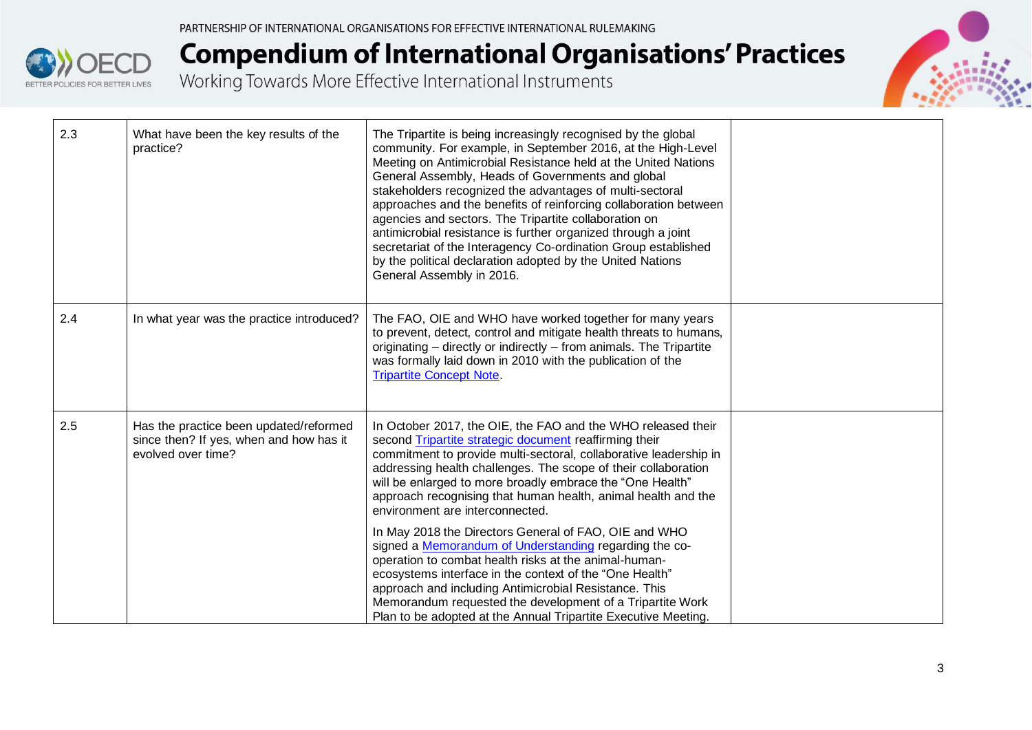



| 2.3 | What have been the key results of the<br>practice?                                                      | The Tripartite is being increasingly recognised by the global<br>community. For example, in September 2016, at the High-Level<br>Meeting on Antimicrobial Resistance held at the United Nations<br>General Assembly, Heads of Governments and global<br>stakeholders recognized the advantages of multi-sectoral<br>approaches and the benefits of reinforcing collaboration between<br>agencies and sectors. The Tripartite collaboration on<br>antimicrobial resistance is further organized through a joint<br>secretariat of the Interagency Co-ordination Group established<br>by the political declaration adopted by the United Nations<br>General Assembly in 2016. |  |
|-----|---------------------------------------------------------------------------------------------------------|-----------------------------------------------------------------------------------------------------------------------------------------------------------------------------------------------------------------------------------------------------------------------------------------------------------------------------------------------------------------------------------------------------------------------------------------------------------------------------------------------------------------------------------------------------------------------------------------------------------------------------------------------------------------------------|--|
| 2.4 | In what year was the practice introduced?                                                               | The FAO, OIE and WHO have worked together for many years<br>to prevent, detect, control and mitigate health threats to humans,<br>originating - directly or indirectly - from animals. The Tripartite<br>was formally laid down in 2010 with the publication of the<br><b>Tripartite Concept Note.</b>                                                                                                                                                                                                                                                                                                                                                                      |  |
| 2.5 | Has the practice been updated/reformed<br>since then? If yes, when and how has it<br>evolved over time? | In October 2017, the OIE, the FAO and the WHO released their<br>second Tripartite strategic document reaffirming their<br>commitment to provide multi-sectoral, collaborative leadership in<br>addressing health challenges. The scope of their collaboration<br>will be enlarged to more broadly embrace the "One Health"<br>approach recognising that human health, animal health and the<br>environment are interconnected.                                                                                                                                                                                                                                              |  |
|     |                                                                                                         | In May 2018 the Directors General of FAO, OIE and WHO<br>signed a Memorandum of Understanding regarding the co-<br>operation to combat health risks at the animal-human-<br>ecosystems interface in the context of the "One Health"<br>approach and including Antimicrobial Resistance. This<br>Memorandum requested the development of a Tripartite Work<br>Plan to be adopted at the Annual Tripartite Executive Meeting.                                                                                                                                                                                                                                                 |  |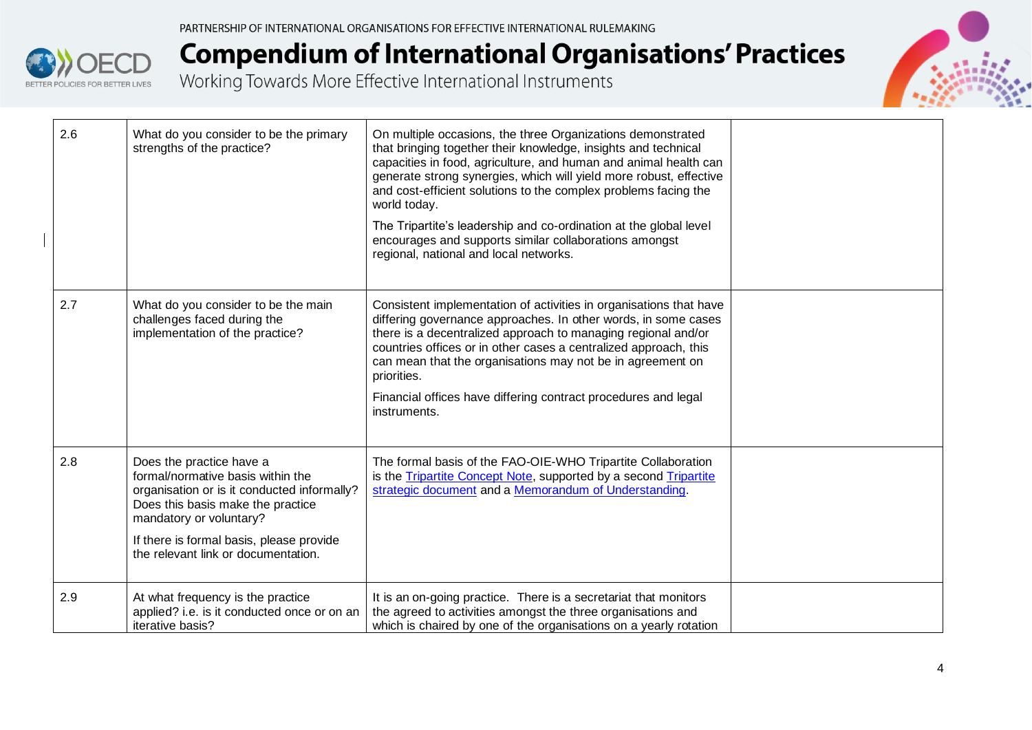



| 2.6 | What do you consider to be the primary<br>strengths of the practice?                                                                                                                                                                                            | On multiple occasions, the three Organizations demonstrated<br>that bringing together their knowledge, insights and technical<br>capacities in food, agriculture, and human and animal health can<br>generate strong synergies, which will yield more robust, effective<br>and cost-efficient solutions to the complex problems facing the<br>world today.<br>The Tripartite's leadership and co-ordination at the global level<br>encourages and supports similar collaborations amongst<br>regional, national and local networks. |  |
|-----|-----------------------------------------------------------------------------------------------------------------------------------------------------------------------------------------------------------------------------------------------------------------|-------------------------------------------------------------------------------------------------------------------------------------------------------------------------------------------------------------------------------------------------------------------------------------------------------------------------------------------------------------------------------------------------------------------------------------------------------------------------------------------------------------------------------------|--|
| 2.7 | What do you consider to be the main<br>challenges faced during the<br>implementation of the practice?                                                                                                                                                           | Consistent implementation of activities in organisations that have<br>differing governance approaches. In other words, in some cases<br>there is a decentralized approach to managing regional and/or<br>countries offices or in other cases a centralized approach, this<br>can mean that the organisations may not be in agreement on<br>priorities.<br>Financial offices have differing contract procedures and legal<br>instruments.                                                                                            |  |
| 2.8 | Does the practice have a<br>formal/normative basis within the<br>organisation or is it conducted informally?<br>Does this basis make the practice<br>mandatory or voluntary?<br>If there is formal basis, please provide<br>the relevant link or documentation. | The formal basis of the FAO-OIE-WHO Tripartite Collaboration<br>is the <b>Tripartite Concept Note</b> , supported by a second <b>Tripartite</b><br>strategic document and a Memorandum of Understanding.                                                                                                                                                                                                                                                                                                                            |  |
| 2.9 | At what frequency is the practice<br>applied? i.e. is it conducted once or on an<br>iterative basis?                                                                                                                                                            | It is an on-going practice. There is a secretariat that monitors<br>the agreed to activities amongst the three organisations and<br>which is chaired by one of the organisations on a yearly rotation                                                                                                                                                                                                                                                                                                                               |  |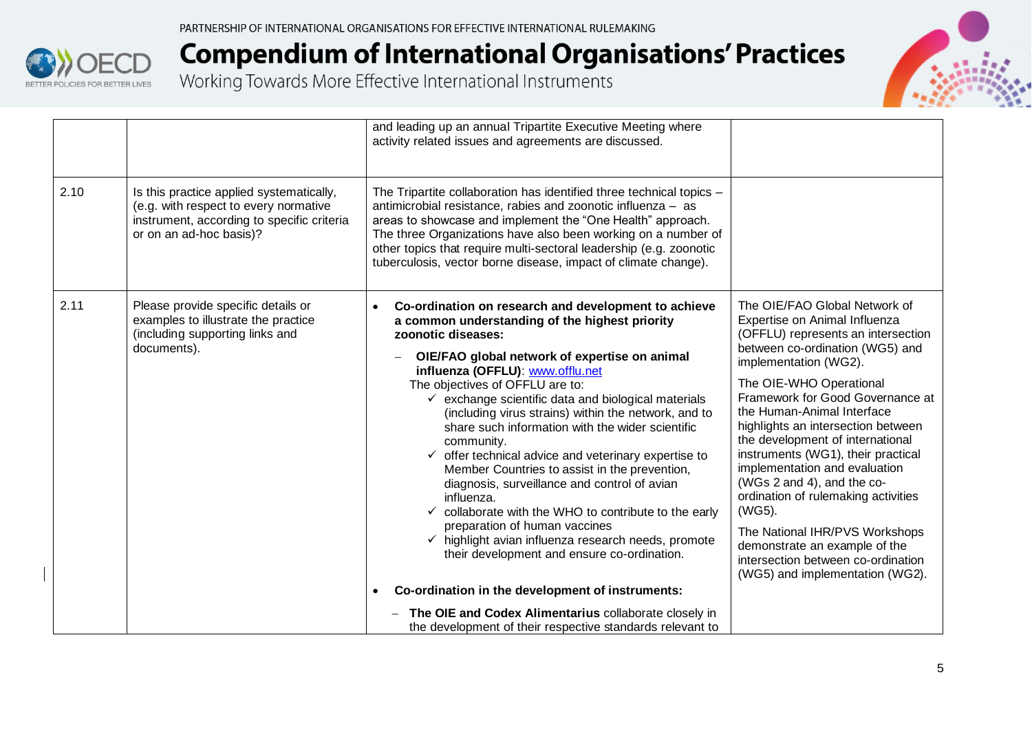



|      |                                                                                                                                                            | and leading up an annual Tripartite Executive Meeting where<br>activity related issues and agreements are discussed.                                                                                                                                                                                                                                                                                                                                                                                                                                                                                                                                                                                                                                                                                                                                                                                                                                                                            |                                                                                                                                                                                                                                                                                                                                                                                                                                                                                                                                                                                                                                           |
|------|------------------------------------------------------------------------------------------------------------------------------------------------------------|-------------------------------------------------------------------------------------------------------------------------------------------------------------------------------------------------------------------------------------------------------------------------------------------------------------------------------------------------------------------------------------------------------------------------------------------------------------------------------------------------------------------------------------------------------------------------------------------------------------------------------------------------------------------------------------------------------------------------------------------------------------------------------------------------------------------------------------------------------------------------------------------------------------------------------------------------------------------------------------------------|-------------------------------------------------------------------------------------------------------------------------------------------------------------------------------------------------------------------------------------------------------------------------------------------------------------------------------------------------------------------------------------------------------------------------------------------------------------------------------------------------------------------------------------------------------------------------------------------------------------------------------------------|
| 2.10 | Is this practice applied systematically,<br>(e.g. with respect to every normative<br>instrument, according to specific criteria<br>or on an ad-hoc basis)? | The Tripartite collaboration has identified three technical topics -<br>antimicrobial resistance, rabies and zoonotic influenza - as<br>areas to showcase and implement the "One Health" approach.<br>The three Organizations have also been working on a number of<br>other topics that require multi-sectoral leadership (e.g. zoonotic<br>tuberculosis, vector borne disease, impact of climate change).                                                                                                                                                                                                                                                                                                                                                                                                                                                                                                                                                                                     |                                                                                                                                                                                                                                                                                                                                                                                                                                                                                                                                                                                                                                           |
| 2.11 | Please provide specific details or<br>examples to illustrate the practice<br>(including supporting links and<br>documents).                                | Co-ordination on research and development to achieve<br>$\bullet$<br>a common understanding of the highest priority<br>zoonotic diseases:<br>OIE/FAO global network of expertise on animal<br>influenza (OFFLU): www.offlu.net<br>The objectives of OFFLU are to:<br>$\checkmark$ exchange scientific data and biological materials<br>(including virus strains) within the network, and to<br>share such information with the wider scientific<br>community.<br>$\checkmark$ offer technical advice and veterinary expertise to<br>Member Countries to assist in the prevention,<br>diagnosis, surveillance and control of avian<br>influenza.<br>$\checkmark$ collaborate with the WHO to contribute to the early<br>preparation of human vaccines<br>$\checkmark$ highlight avian influenza research needs, promote<br>their development and ensure co-ordination.<br>Co-ordination in the development of instruments:<br>$\bullet$<br>The OIE and Codex Alimentarius collaborate closely in | The OIE/FAO Global Network of<br>Expertise on Animal Influenza<br>(OFFLU) represents an intersection<br>between co-ordination (WG5) and<br>implementation (WG2).<br>The OIE-WHO Operational<br>Framework for Good Governance at<br>the Human-Animal Interface<br>highlights an intersection between<br>the development of international<br>instruments (WG1), their practical<br>implementation and evaluation<br>(WGs 2 and 4), and the co-<br>ordination of rulemaking activities<br>(WG5).<br>The National IHR/PVS Workshops<br>demonstrate an example of the<br>intersection between co-ordination<br>(WG5) and implementation (WG2). |
|      |                                                                                                                                                            | the development of their respective standards relevant to                                                                                                                                                                                                                                                                                                                                                                                                                                                                                                                                                                                                                                                                                                                                                                                                                                                                                                                                       |                                                                                                                                                                                                                                                                                                                                                                                                                                                                                                                                                                                                                                           |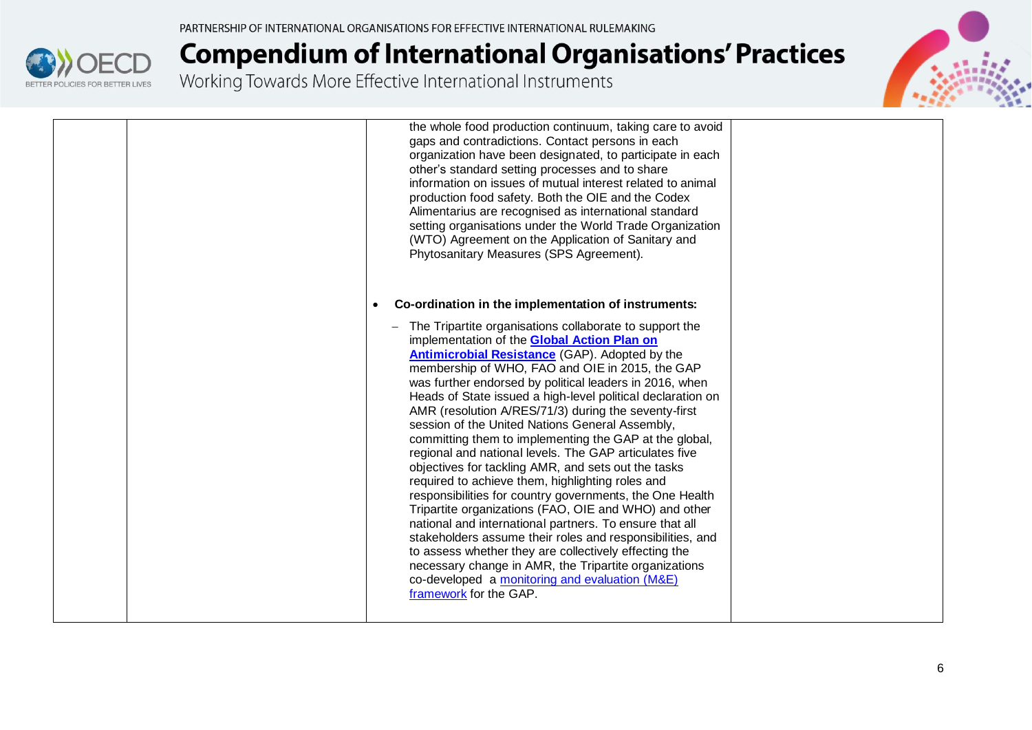

# **Compendium of International Organisations' Practices**<br>Working Towards More Effective International Instruments



|  | the whole food production continuum, taking care to avoid<br>gaps and contradictions. Contact persons in each<br>organization have been designated, to participate in each<br>other's standard setting processes and to share<br>information on issues of mutual interest related to animal<br>production food safety. Both the OIE and the Codex<br>Alimentarius are recognised as international standard<br>setting organisations under the World Trade Organization<br>(WTO) Agreement on the Application of Sanitary and<br>Phytosanitary Measures (SPS Agreement).                                                                                                                                                                                                                                                                                                                                                                                                                                                                                                                                                                  |  |
|--|------------------------------------------------------------------------------------------------------------------------------------------------------------------------------------------------------------------------------------------------------------------------------------------------------------------------------------------------------------------------------------------------------------------------------------------------------------------------------------------------------------------------------------------------------------------------------------------------------------------------------------------------------------------------------------------------------------------------------------------------------------------------------------------------------------------------------------------------------------------------------------------------------------------------------------------------------------------------------------------------------------------------------------------------------------------------------------------------------------------------------------------|--|
|  | Co-ordination in the implementation of instruments:                                                                                                                                                                                                                                                                                                                                                                                                                                                                                                                                                                                                                                                                                                                                                                                                                                                                                                                                                                                                                                                                                      |  |
|  | The Tripartite organisations collaborate to support the<br>implementation of the <b>Global Action Plan on</b><br><b>Antimicrobial Resistance (GAP). Adopted by the</b><br>membership of WHO, FAO and OIE in 2015, the GAP<br>was further endorsed by political leaders in 2016, when<br>Heads of State issued a high-level political declaration on<br>AMR (resolution A/RES/71/3) during the seventy-first<br>session of the United Nations General Assembly,<br>committing them to implementing the GAP at the global,<br>regional and national levels. The GAP articulates five<br>objectives for tackling AMR, and sets out the tasks<br>required to achieve them, highlighting roles and<br>responsibilities for country governments, the One Health<br>Tripartite organizations (FAO, OIE and WHO) and other<br>national and international partners. To ensure that all<br>stakeholders assume their roles and responsibilities, and<br>to assess whether they are collectively effecting the<br>necessary change in AMR, the Tripartite organizations<br>co-developed a monitoring and evaluation (M&E)<br>framework for the GAP. |  |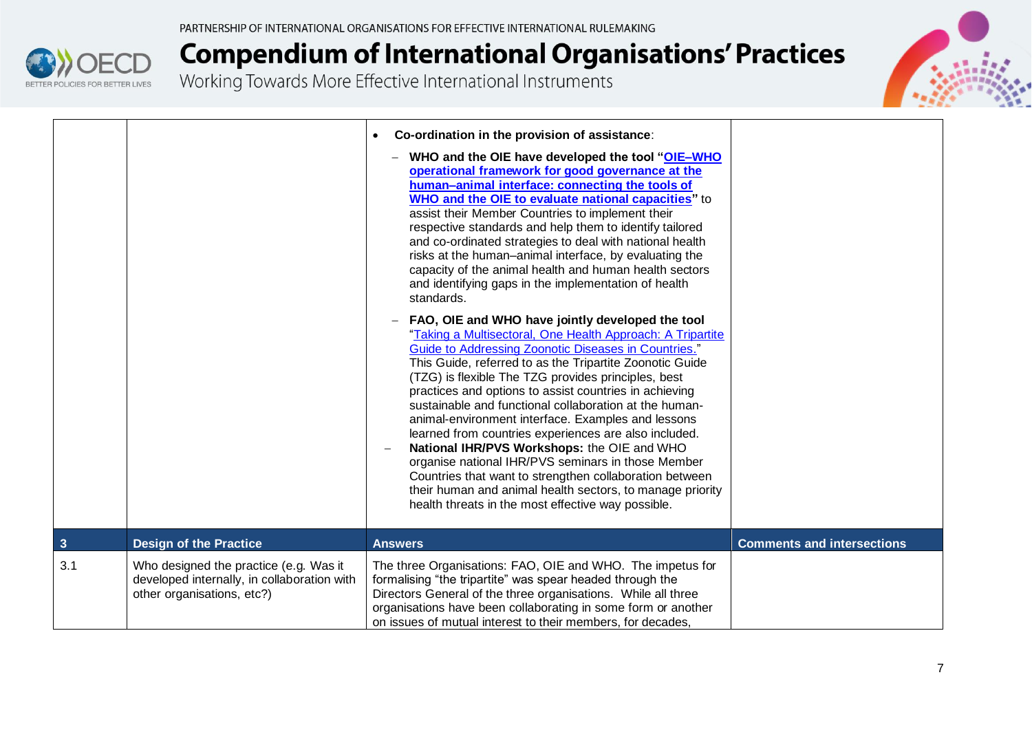



|     |                                                                                                                     | Co-ordination in the provision of assistance:<br>$\bullet$<br>WHO and the OIE have developed the tool "OIE-WHO<br>operational framework for good governance at the<br>human-animal interface: connecting the tools of<br><b>WHO and the OIE to evaluate national capacities"</b> to<br>assist their Member Countries to implement their<br>respective standards and help them to identify tailored<br>and co-ordinated strategies to deal with national health<br>risks at the human-animal interface, by evaluating the<br>capacity of the animal health and human health sectors<br>and identifying gaps in the implementation of health<br>standards.                                                                                                                                                        |                                   |
|-----|---------------------------------------------------------------------------------------------------------------------|-----------------------------------------------------------------------------------------------------------------------------------------------------------------------------------------------------------------------------------------------------------------------------------------------------------------------------------------------------------------------------------------------------------------------------------------------------------------------------------------------------------------------------------------------------------------------------------------------------------------------------------------------------------------------------------------------------------------------------------------------------------------------------------------------------------------|-----------------------------------|
|     |                                                                                                                     | FAO, OIE and WHO have jointly developed the tool<br>"Taking a Multisectoral, One Health Approach: A Tripartite<br>Guide to Addressing Zoonotic Diseases in Countries."<br>This Guide, referred to as the Tripartite Zoonotic Guide<br>(TZG) is flexible The TZG provides principles, best<br>practices and options to assist countries in achieving<br>sustainable and functional collaboration at the human-<br>animal-environment interface. Examples and lessons<br>learned from countries experiences are also included.<br>National IHR/PVS Workshops: the OIE and WHO<br>organise national IHR/PVS seminars in those Member<br>Countries that want to strengthen collaboration between<br>their human and animal health sectors, to manage priority<br>health threats in the most effective way possible. |                                   |
| 3   | <b>Design of the Practice</b>                                                                                       | <b>Answers</b>                                                                                                                                                                                                                                                                                                                                                                                                                                                                                                                                                                                                                                                                                                                                                                                                  | <b>Comments and intersections</b> |
| 3.1 | Who designed the practice (e.g. Was it<br>developed internally, in collaboration with<br>other organisations, etc?) | The three Organisations: FAO, OIE and WHO. The impetus for<br>formalising "the tripartite" was spear headed through the<br>Directors General of the three organisations. While all three<br>organisations have been collaborating in some form or another<br>on issues of mutual interest to their members, for decades,                                                                                                                                                                                                                                                                                                                                                                                                                                                                                        |                                   |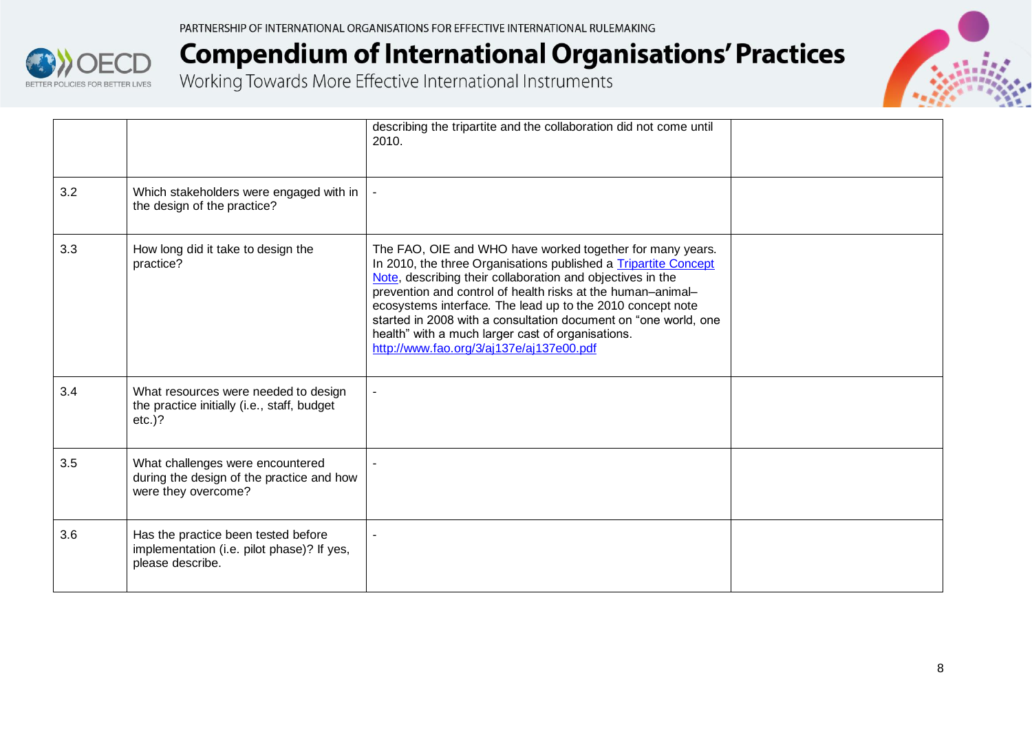



|     |                                                                                                       | describing the tripartite and the collaboration did not come until<br>2010.                                                                                                                                                                                                                                                                                                                                                                                                                 |  |
|-----|-------------------------------------------------------------------------------------------------------|---------------------------------------------------------------------------------------------------------------------------------------------------------------------------------------------------------------------------------------------------------------------------------------------------------------------------------------------------------------------------------------------------------------------------------------------------------------------------------------------|--|
| 3.2 | Which stakeholders were engaged with in<br>the design of the practice?                                |                                                                                                                                                                                                                                                                                                                                                                                                                                                                                             |  |
| 3.3 | How long did it take to design the<br>practice?                                                       | The FAO, OIE and WHO have worked together for many years.<br>In 2010, the three Organisations published a Tripartite Concept<br>Note, describing their collaboration and objectives in the<br>prevention and control of health risks at the human-animal-<br>ecosystems interface. The lead up to the 2010 concept note<br>started in 2008 with a consultation document on "one world, one<br>health" with a much larger cast of organisations.<br>http://www.fao.org/3/aj137e/aj137e00.pdf |  |
| 3.4 | What resources were needed to design<br>the practice initially (i.e., staff, budget<br>$etc.$ )?      |                                                                                                                                                                                                                                                                                                                                                                                                                                                                                             |  |
| 3.5 | What challenges were encountered<br>during the design of the practice and how<br>were they overcome?  |                                                                                                                                                                                                                                                                                                                                                                                                                                                                                             |  |
| 3.6 | Has the practice been tested before<br>implementation (i.e. pilot phase)? If yes,<br>please describe. |                                                                                                                                                                                                                                                                                                                                                                                                                                                                                             |  |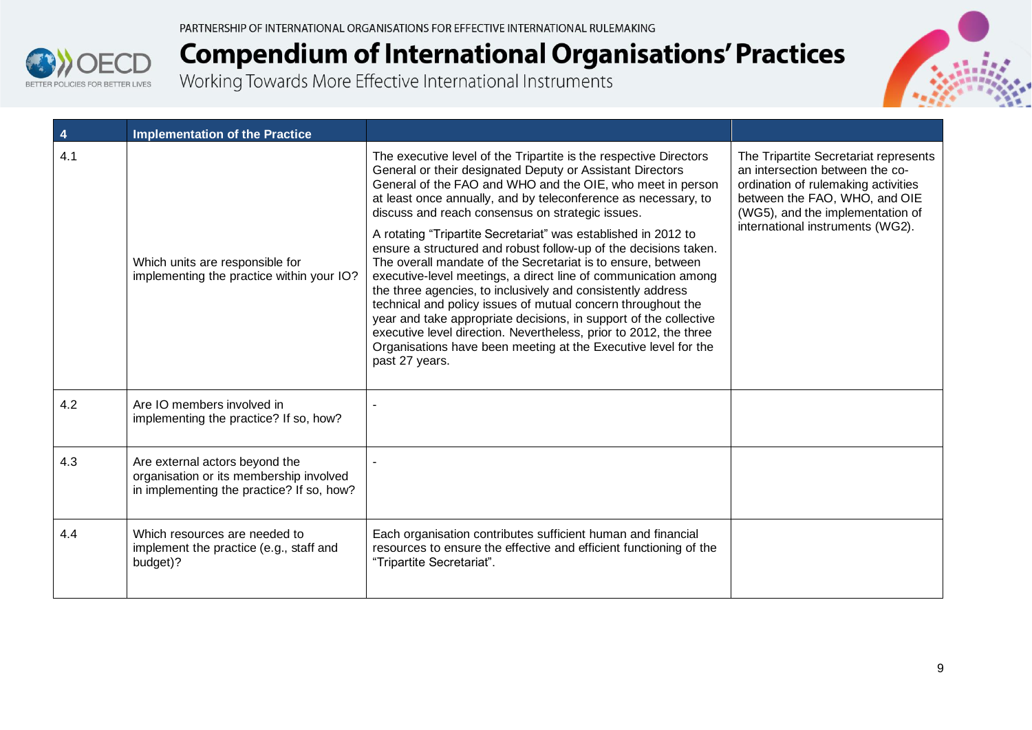



| 4   | <b>Implementation of the Practice</b>                                                                                  |                                                                                                                                                                                                                                                                                                                                                                                                                                                                                                                                                                                                                                                                                                                                                                                                                                                                                                                                                         |                                                                                                                                                                                                                          |
|-----|------------------------------------------------------------------------------------------------------------------------|---------------------------------------------------------------------------------------------------------------------------------------------------------------------------------------------------------------------------------------------------------------------------------------------------------------------------------------------------------------------------------------------------------------------------------------------------------------------------------------------------------------------------------------------------------------------------------------------------------------------------------------------------------------------------------------------------------------------------------------------------------------------------------------------------------------------------------------------------------------------------------------------------------------------------------------------------------|--------------------------------------------------------------------------------------------------------------------------------------------------------------------------------------------------------------------------|
| 4.1 | Which units are responsible for<br>implementing the practice within your IO?                                           | The executive level of the Tripartite is the respective Directors<br>General or their designated Deputy or Assistant Directors<br>General of the FAO and WHO and the OIE, who meet in person<br>at least once annually, and by teleconference as necessary, to<br>discuss and reach consensus on strategic issues.<br>A rotating "Tripartite Secretariat" was established in 2012 to<br>ensure a structured and robust follow-up of the decisions taken.<br>The overall mandate of the Secretariat is to ensure, between<br>executive-level meetings, a direct line of communication among<br>the three agencies, to inclusively and consistently address<br>technical and policy issues of mutual concern throughout the<br>year and take appropriate decisions, in support of the collective<br>executive level direction. Nevertheless, prior to 2012, the three<br>Organisations have been meeting at the Executive level for the<br>past 27 years. | The Tripartite Secretariat represents<br>an intersection between the co-<br>ordination of rulemaking activities<br>between the FAO, WHO, and OIE<br>(WG5), and the implementation of<br>international instruments (WG2). |
| 4.2 | Are IO members involved in<br>implementing the practice? If so, how?                                                   |                                                                                                                                                                                                                                                                                                                                                                                                                                                                                                                                                                                                                                                                                                                                                                                                                                                                                                                                                         |                                                                                                                                                                                                                          |
| 4.3 | Are external actors beyond the<br>organisation or its membership involved<br>in implementing the practice? If so, how? |                                                                                                                                                                                                                                                                                                                                                                                                                                                                                                                                                                                                                                                                                                                                                                                                                                                                                                                                                         |                                                                                                                                                                                                                          |
| 4.4 | Which resources are needed to<br>implement the practice (e.g., staff and<br>budget)?                                   | Each organisation contributes sufficient human and financial<br>resources to ensure the effective and efficient functioning of the<br>"Tripartite Secretariat".                                                                                                                                                                                                                                                                                                                                                                                                                                                                                                                                                                                                                                                                                                                                                                                         |                                                                                                                                                                                                                          |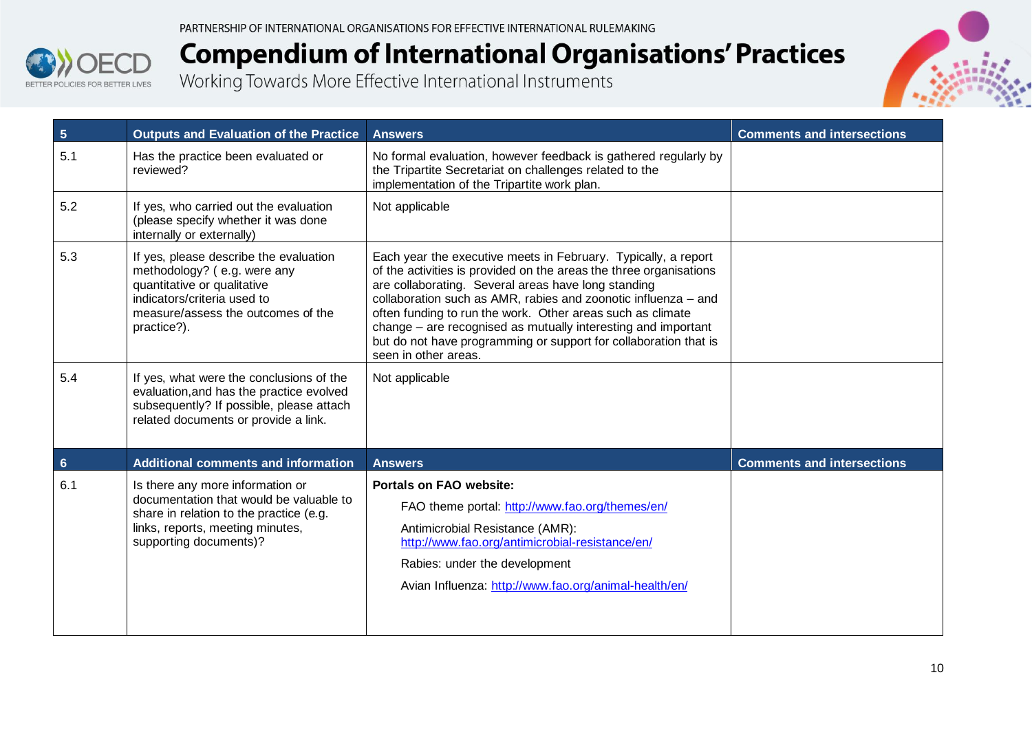



| $5\phantom{.0}$ | <b>Outputs and Evaluation of the Practice</b>                                                                                                                                            | <b>Answers</b>                                                                                                                                                                                                                                                                                                                                                                                                                                                                           | <b>Comments and intersections</b> |
|-----------------|------------------------------------------------------------------------------------------------------------------------------------------------------------------------------------------|------------------------------------------------------------------------------------------------------------------------------------------------------------------------------------------------------------------------------------------------------------------------------------------------------------------------------------------------------------------------------------------------------------------------------------------------------------------------------------------|-----------------------------------|
| 5.1             | Has the practice been evaluated or<br>reviewed?                                                                                                                                          | No formal evaluation, however feedback is gathered regularly by<br>the Tripartite Secretariat on challenges related to the<br>implementation of the Tripartite work plan.                                                                                                                                                                                                                                                                                                                |                                   |
| 5.2             | If yes, who carried out the evaluation<br>(please specify whether it was done<br>internally or externally)                                                                               | Not applicable                                                                                                                                                                                                                                                                                                                                                                                                                                                                           |                                   |
| 5.3             | If yes, please describe the evaluation<br>methodology? (e.g. were any<br>quantitative or qualitative<br>indicators/criteria used to<br>measure/assess the outcomes of the<br>practice?). | Each year the executive meets in February. Typically, a report<br>of the activities is provided on the areas the three organisations<br>are collaborating. Several areas have long standing<br>collaboration such as AMR, rabies and zoonotic influenza - and<br>often funding to run the work. Other areas such as climate<br>change – are recognised as mutually interesting and important<br>but do not have programming or support for collaboration that is<br>seen in other areas. |                                   |
| 5.4             | If yes, what were the conclusions of the<br>evaluation, and has the practice evolved<br>subsequently? If possible, please attach<br>related documents or provide a link.                 | Not applicable                                                                                                                                                                                                                                                                                                                                                                                                                                                                           |                                   |
| $6\phantom{a}$  | <b>Additional comments and information</b>                                                                                                                                               | <b>Answers</b>                                                                                                                                                                                                                                                                                                                                                                                                                                                                           | <b>Comments and intersections</b> |
| 6.1             | Is there any more information or<br>documentation that would be valuable to<br>share in relation to the practice (e.g.<br>links, reports, meeting minutes,<br>supporting documents)?     | <b>Portals on FAO website:</b><br>FAO theme portal: http://www.fao.org/themes/en/<br>Antimicrobial Resistance (AMR):<br>http://www.fao.org/antimicrobial-resistance/en/<br>Rabies: under the development<br>Avian Influenza: http://www.fao.org/animal-health/en/                                                                                                                                                                                                                        |                                   |